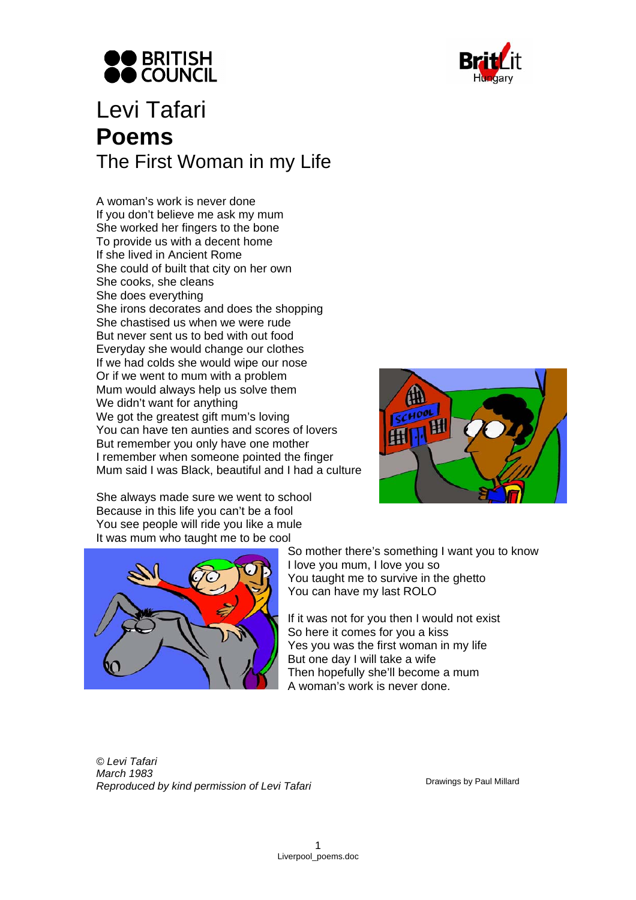



## Levi Tafari **Poems**  The First Woman in my Life

A woman's work is never done If you don't believe me ask my mum She worked her fingers to the bone To provide us with a decent home If she lived in Ancient Rome She could of built that city on her own She cooks, she cleans She does everything She irons decorates and does the shopping She chastised us when we were rude But never sent us to bed with out food Everyday she would change our clothes If we had colds she would wipe our nose Or if we went to mum with a problem Mum would always help us solve them We didn't want for anything We got the greatest gift mum's loving You can have ten aunties and scores of lovers But remember you only have one mother I remember when someone pointed the finger Mum said I was Black, beautiful and I had a culture



She always made sure we went to school Because in this life you can't be a fool You see people will ride you like a mule It was mum who taught me to be cool



So mother there's something I want you to know I love you mum, I love you so You taught me to survive in the ghetto You can have my last ROLO

If it was not for you then I would not exist So here it comes for you a kiss Yes you was the first woman in my life But one day I will take a wife Then hopefully she'll become a mum A woman's work is never done.

*© Levi Tafari March 1983*  **Reproduced by kind permission of Levi Tafari Drawings by Paul Millard Reproduced by kind permission of Levi Tafari**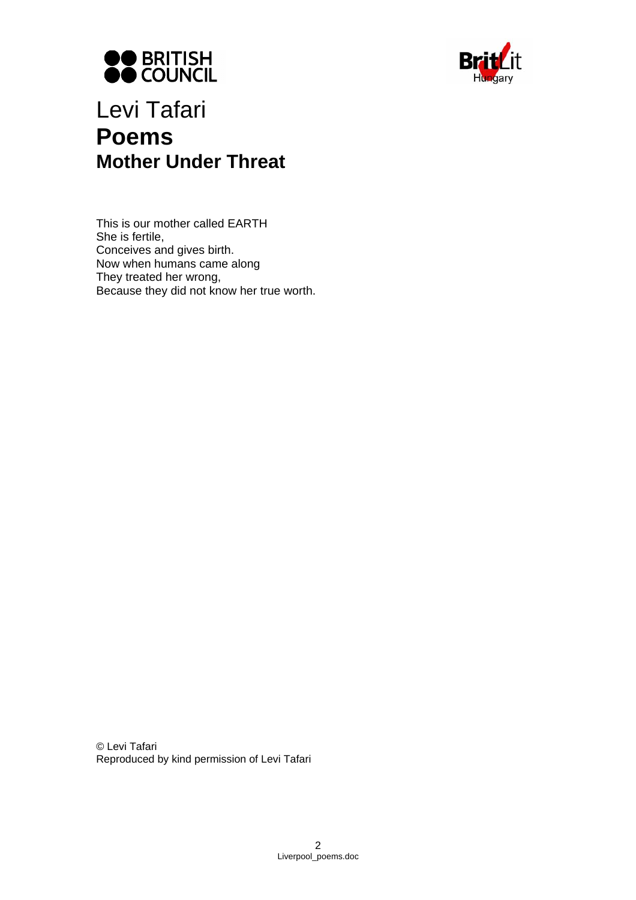



## Levi Tafari **Poems Mother Under Threat**

This is our mother called EARTH She is fertile, Conceives and gives birth. Now when humans came along They treated her wrong, Because they did not know her true worth.

© Levi Tafari Reproduced by kind permission of Levi Tafari